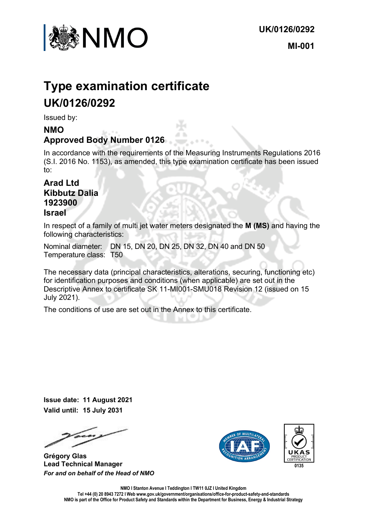

# **Type examination certificate UK/0126/0292**

Issued by:

### **NMO Approved Body Number 0126**

In accordance with the requirements of the Measuring Instruments Regulations 2016 (S.I. 2016 No. 1153), as amended, this type examination certificate has been issued to:

#### **Arad Ltd Kibbutz Dalia 1923900 Israel**

In respect of a family of multi jet water meters designated the **M (MS)** and having the following characteristics:

Nominal diameter: DN 15, DN 20, DN 25, DN 32, DN 40 and DN 50 Temperature class: T50

The necessary data (principal characteristics, alterations, securing, functioning etc) for identification purposes and conditions (when applicable) are set out in the Descriptive Annex to certificate SK 11-MI001-SMU018 Revision 12 (issued on 15 July 2021).

The conditions of use are set out in the Annex to this certificate.

**Issue date: 11 August 2021 Valid until: 15 July 2031**

**Grégory Glas Lead Technical Manager**  *For and on behalf of the Head of NMO*